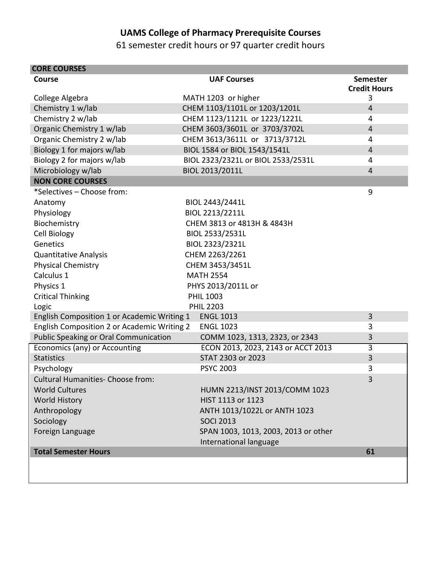## **UAMS College of Pharmacy Prerequisite Courses**

61 semester credit hours or 97 quarter credit hours

| <b>CORE COURSES</b>                         |                                      |                                        |
|---------------------------------------------|--------------------------------------|----------------------------------------|
| Course                                      | <b>UAF Courses</b>                   | <b>Semester</b><br><b>Credit Hours</b> |
| College Algebra                             | MATH 1203 or higher                  | 3                                      |
| Chemistry 1 w/lab                           | CHEM 1103/1101L or 1203/1201L        | $\overline{4}$                         |
| Chemistry 2 w/lab                           | CHEM 1123/1121L or 1223/1221L        | 4                                      |
| Organic Chemistry 1 w/lab                   | CHEM 3603/3601L or 3703/3702L        | $\overline{4}$                         |
| Organic Chemistry 2 w/lab                   | CHEM 3613/3611L or 3713/3712L        | 4                                      |
| Biology 1 for majors w/lab                  | BIOL 1584 or BIOL 1543/1541L         | $\overline{4}$                         |
| Biology 2 for majors w/lab                  | BIOL 2323/2321L or BIOL 2533/2531L   | 4                                      |
| Microbiology w/lab                          | BIOL 2013/2011L                      | $\overline{4}$                         |
| <b>NON CORE COURSES</b>                     |                                      |                                        |
| *Selectives - Choose from:                  |                                      | 9                                      |
| Anatomy                                     | BIOL 2443/2441L                      |                                        |
| Physiology                                  | BIOL 2213/2211L                      |                                        |
| Biochemistry                                | CHEM 3813 or 4813H & 4843H           |                                        |
| Cell Biology                                | BIOL 2533/2531L                      |                                        |
| Genetics                                    | BIOL 2323/2321L                      |                                        |
| <b>Quantitative Analysis</b>                | CHEM 2263/2261                       |                                        |
| <b>Physical Chemistry</b>                   | CHEM 3453/3451L                      |                                        |
| Calculus 1                                  | <b>MATH 2554</b>                     |                                        |
| Physics 1                                   | PHYS 2013/2011L or                   |                                        |
| <b>Critical Thinking</b>                    | <b>PHIL 1003</b>                     |                                        |
| Logic                                       | <b>PHIL 2203</b>                     |                                        |
| English Composition 1 or Academic Writing 1 | <b>ENGL 1013</b>                     | 3                                      |
| English Composition 2 or Academic Writing 2 | <b>ENGL 1023</b>                     | 3                                      |
| Public Speaking or Oral Communication       | COMM 1023, 1313, 2323, or 2343       | 3                                      |
| Economics (any) or Accounting               | ECON 2013, 2023, 2143 or ACCT 2013   | $\overline{3}$                         |
| <b>Statistics</b>                           | STAT 2303 or 2023                    | 3                                      |
| Psychology                                  | <b>PSYC 2003</b>                     | 3                                      |
| <b>Cultural Humanities- Choose from:</b>    |                                      | 3                                      |
| <b>World Cultures</b>                       | HUMN 2213/INST 2013/COMM 1023        |                                        |
| <b>World History</b>                        | HIST 1113 or 1123                    |                                        |
| Anthropology                                | ANTH 1013/1022L or ANTH 1023         |                                        |
| Sociology                                   | <b>SOCI 2013</b>                     |                                        |
| Foreign Language                            | SPAN 1003, 1013, 2003, 2013 or other |                                        |
|                                             | International language               |                                        |
| <b>Total Semester Hours</b>                 |                                      | 61                                     |
|                                             |                                      |                                        |